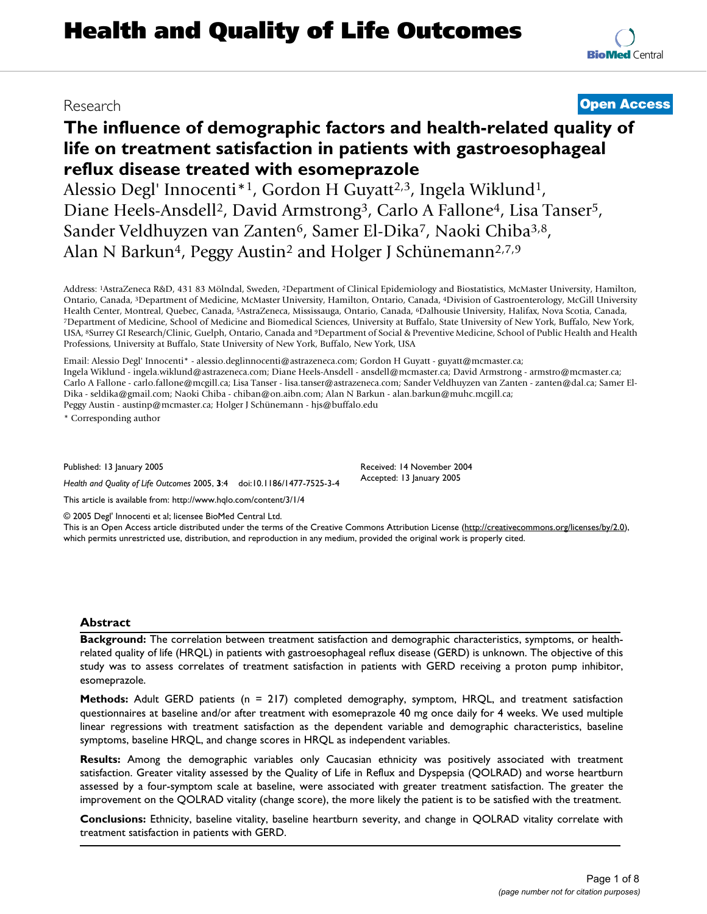# Research **[Open Access](http://www.biomedcentral.com/info/about/charter/)**

# **The influence of demographic factors and health-related quality of life on treatment satisfaction in patients with gastroesophageal reflux disease treated with esomeprazole**

Alessio Degl' Innocenti\*<sup>1</sup>, Gordon H Guyatt<sup>2,3</sup>, Ingela Wiklund<sup>1</sup>, Diane Heels-Ansdell<sup>2</sup>, David Armstrong<sup>3</sup>, Carlo A Fallone<sup>4</sup>, Lisa Tanser<sup>5</sup>, Sander Veldhuyzen van Zanten<sup>6</sup>, Samer El-Dika<sup>7</sup>, Naoki Chiba<sup>3,8</sup>, Alan N Barkun<sup>4</sup>, Peggy Austin<sup>2</sup> and Holger J Schünemann<sup>2,7,9</sup>

Address: 1AstraZeneca R&D, 431 83 Mölndal, Sweden, 2Department of Clinical Epidemiology and Biostatistics, McMaster University, Hamilton, Ontario, Canada, <sup>3</sup>Department of Medicine, McMaster University, Hamilton, Ontario, Canada, <sup>4</sup>Division of Gastroenterology, McGill University<br>Health Center, Montreal, Quebec, Canada, <sup>5</sup>AstraZeneca, Mississauga, Ontario, 7Department of Medicine, School of Medicine and Biomedical Sciences, University at Buffalo, State University of New York, Buffalo, New York, USA, 8Surrey GI Research/Clinic, Guelph, Ontario, Canada and 9Department of Social & Preventive Medicine, School of Public Health and Health Professions, University at Buffalo, State University of New York, Buffalo, New York, USA

Email: Alessio Degl' Innocenti\* - alessio.deglinnocenti@astrazeneca.com; Gordon H Guyatt - guyatt@mcmaster.ca; Ingela Wiklund - ingela.wiklund@astrazeneca.com; Diane Heels-Ansdell - ansdell@mcmaster.ca; David Armstrong - armstro@mcmaster.ca; Carlo A Fallone - carlo.fallone@mcgill.ca; Lisa Tanser - lisa.tanser@astrazeneca.com; Sander Veldhuyzen van Zanten - zanten@dal.ca; Samer El-Dika - seldika@gmail.com; Naoki Chiba - chiban@on.aibn.com; Alan N Barkun - alan.barkun@muhc.mcgill.ca; Peggy Austin - austinp@mcmaster.ca; Holger J Schünemann - hjs@buffalo.edu

\* Corresponding author

Published: 13 January 2005

*Health and Quality of Life Outcomes* 2005, **3**:4 doi:10.1186/1477-7525-3-4

[This article is available from: http://www.hqlo.com/content/3/1/4](http://www.hqlo.com/content/3/1/4)

© 2005 Degl' Innocenti et al; licensee BioMed Central Ltd.

This is an Open Access article distributed under the terms of the Creative Commons Attribution License [\(http://creativecommons.org/licenses/by/2.0\)](http://creativecommons.org/licenses/by/2.0), which permits unrestricted use, distribution, and reproduction in any medium, provided the original work is properly cited.

Received: 14 November 2004 Accepted: 13 January 2005

### **Abstract**

**Background:** The correlation between treatment satisfaction and demographic characteristics, symptoms, or healthrelated quality of life (HRQL) in patients with gastroesophageal reflux disease (GERD) is unknown. The objective of this study was to assess correlates of treatment satisfaction in patients with GERD receiving a proton pump inhibitor, esomeprazole.

**Methods:** Adult GERD patients (n = 217) completed demography, symptom, HRQL, and treatment satisfaction questionnaires at baseline and/or after treatment with esomeprazole 40 mg once daily for 4 weeks. We used multiple linear regressions with treatment satisfaction as the dependent variable and demographic characteristics, baseline symptoms, baseline HRQL, and change scores in HRQL as independent variables.

**Results:** Among the demographic variables only Caucasian ethnicity was positively associated with treatment satisfaction. Greater vitality assessed by the Quality of Life in Reflux and Dyspepsia (QOLRAD) and worse heartburn assessed by a four-symptom scale at baseline, were associated with greater treatment satisfaction. The greater the improvement on the QOLRAD vitality (change score), the more likely the patient is to be satisfied with the treatment.

**Conclusions:** Ethnicity, baseline vitality, baseline heartburn severity, and change in QOLRAD vitality correlate with treatment satisfaction in patients with GERD.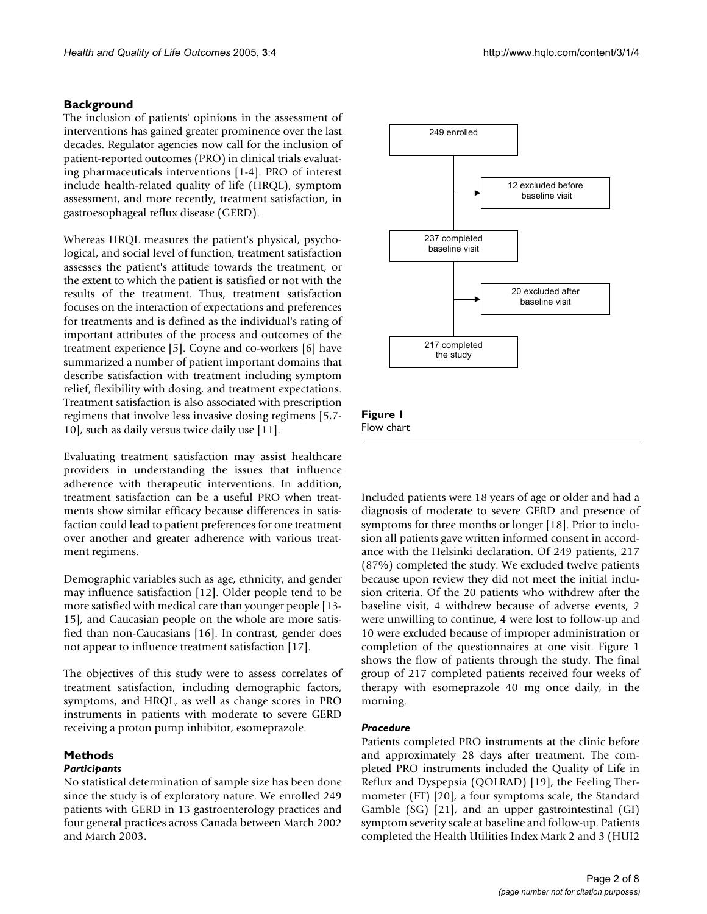# **Background**

The inclusion of patients' opinions in the assessment of interventions has gained greater prominence over the last decades. Regulator agencies now call for the inclusion of patient-reported outcomes (PRO) in clinical trials evaluating pharmaceuticals interventions [1-4]. PRO of interest include health-related quality of life (HRQL), symptom assessment, and more recently, treatment satisfaction, in gastroesophageal reflux disease (GERD).

Whereas HRQL measures the patient's physical, psychological, and social level of function, treatment satisfaction assesses the patient's attitude towards the treatment, or the extent to which the patient is satisfied or not with the results of the treatment. Thus, treatment satisfaction focuses on the interaction of expectations and preferences for treatments and is defined as the individual's rating of important attributes of the process and outcomes of the treatment experience [5]. Coyne and co-workers [6] have summarized a number of patient important domains that describe satisfaction with treatment including symptom relief, flexibility with dosing, and treatment expectations. Treatment satisfaction is also associated with prescription regimens that involve less invasive dosing regimens [5,7- 10], such as daily versus twice daily use [11].

Evaluating treatment satisfaction may assist healthcare providers in understanding the issues that influence adherence with therapeutic interventions. In addition, treatment satisfaction can be a useful PRO when treatments show similar efficacy because differences in satisfaction could lead to patient preferences for one treatment over another and greater adherence with various treatment regimens.

Demographic variables such as age, ethnicity, and gender may influence satisfaction [12]. Older people tend to be more satisfied with medical care than younger people [13- 15], and Caucasian people on the whole are more satisfied than non-Caucasians [16]. In contrast, gender does not appear to influence treatment satisfaction [17].

The objectives of this study were to assess correlates of treatment satisfaction, including demographic factors, symptoms, and HRQL, as well as change scores in PRO instruments in patients with moderate to severe GERD receiving a proton pump inhibitor, esomeprazole.

# **Methods**

# *Participants*

No statistical determination of sample size has been done since the study is of exploratory nature. We enrolled 249 patients with GERD in 13 gastroenterology practices and four general practices across Canada between March 2002 and March 2003.



#### **Figure 1** Flow chart

Included patients were 18 years of age or older and had a diagnosis of moderate to severe GERD and presence of symptoms for three months or longer [18]. Prior to inclusion all patients gave written informed consent in accordance with the Helsinki declaration. Of 249 patients, 217 (87%) completed the study. We excluded twelve patients because upon review they did not meet the initial inclusion criteria. Of the 20 patients who withdrew after the baseline visit, 4 withdrew because of adverse events, 2 were unwilling to continue, 4 were lost to follow-up and 10 were excluded because of improper administration or completion of the questionnaires at one visit. Figure 1 shows the flow of patients through the study. The final group of 217 completed patients received four weeks of therapy with esomeprazole 40 mg once daily, in the morning.

### *Procedure*

Patients completed PRO instruments at the clinic before and approximately 28 days after treatment. The completed PRO instruments included the Quality of Life in Reflux and Dyspepsia (QOLRAD) [19], the Feeling Thermometer (FT) [20], a four symptoms scale, the Standard Gamble (SG) [21], and an upper gastrointestinal (GI) symptom severity scale at baseline and follow-up. Patients completed the Health Utilities Index Mark 2 and 3 (HUI2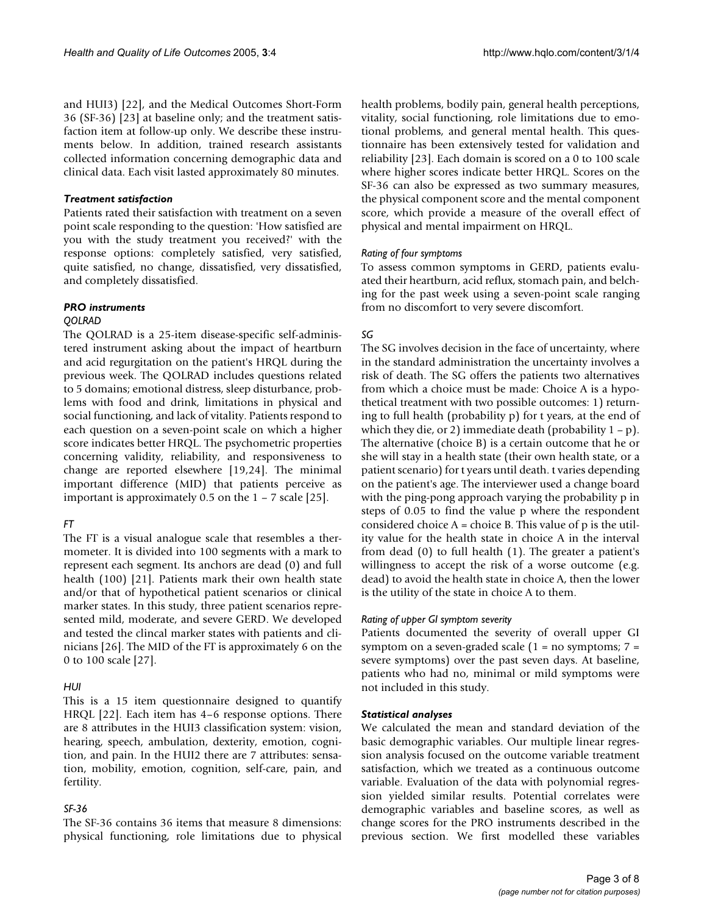and HUI3) [22], and the Medical Outcomes Short-Form 36 (SF-36) [23] at baseline only; and the treatment satisfaction item at follow-up only. We describe these instruments below. In addition, trained research assistants collected information concerning demographic data and clinical data. Each visit lasted approximately 80 minutes.

#### *Treatment satisfaction*

Patients rated their satisfaction with treatment on a seven point scale responding to the question: 'How satisfied are you with the study treatment you received?' with the response options: completely satisfied, very satisfied, quite satisfied, no change, dissatisfied, very dissatisfied, and completely dissatisfied.

#### *PRO instruments*

#### *QOLRAD*

The QOLRAD is a 25-item disease-specific self-administered instrument asking about the impact of heartburn and acid regurgitation on the patient's HRQL during the previous week. The QOLRAD includes questions related to 5 domains; emotional distress, sleep disturbance, problems with food and drink, limitations in physical and social functioning, and lack of vitality. Patients respond to each question on a seven-point scale on which a higher score indicates better HRQL. The psychometric properties concerning validity, reliability, and responsiveness to change are reported elsewhere [19,24]. The minimal important difference (MID) that patients perceive as important is approximately 0.5 on the 1 – 7 scale [25].

### *FT*

The FT is a visual analogue scale that resembles a thermometer. It is divided into 100 segments with a mark to represent each segment. Its anchors are dead (0) and full health (100) [21]. Patients mark their own health state and/or that of hypothetical patient scenarios or clinical marker states. In this study, three patient scenarios represented mild, moderate, and severe GERD. We developed and tested the clincal marker states with patients and clinicians [26]. The MID of the FT is approximately 6 on the 0 to 100 scale [27].

### *HUI*

This is a 15 item questionnaire designed to quantify HRQL [22]. Each item has 4–6 response options. There are 8 attributes in the HUI3 classification system: vision, hearing, speech, ambulation, dexterity, emotion, cognition, and pain. In the HUI2 there are 7 attributes: sensation, mobility, emotion, cognition, self-care, pain, and fertility.

#### *SF-36*

The SF-36 contains 36 items that measure 8 dimensions: physical functioning, role limitations due to physical

health problems, bodily pain, general health perceptions, vitality, social functioning, role limitations due to emotional problems, and general mental health. This questionnaire has been extensively tested for validation and reliability [23]. Each domain is scored on a 0 to 100 scale where higher scores indicate better HRQL. Scores on the SF-36 can also be expressed as two summary measures, the physical component score and the mental component score, which provide a measure of the overall effect of physical and mental impairment on HRQL.

### *Rating of four symptoms*

To assess common symptoms in GERD, patients evaluated their heartburn, acid reflux, stomach pain, and belching for the past week using a seven-point scale ranging from no discomfort to very severe discomfort.

### *SG*

The SG involves decision in the face of uncertainty, where in the standard administration the uncertainty involves a risk of death. The SG offers the patients two alternatives from which a choice must be made: Choice A is a hypothetical treatment with two possible outcomes: 1) returning to full health (probability p) for t years, at the end of which they die, or 2) immediate death (probability  $1 - p$ ). The alternative (choice B) is a certain outcome that he or she will stay in a health state (their own health state, or a patient scenario) for t years until death. t varies depending on the patient's age. The interviewer used a change board with the ping-pong approach varying the probability p in steps of 0.05 to find the value p where the respondent considered choice  $A =$  choice B. This value of  $p$  is the utility value for the health state in choice A in the interval from dead (0) to full health (1). The greater a patient's willingness to accept the risk of a worse outcome (e.g. dead) to avoid the health state in choice A, then the lower is the utility of the state in choice A to them.

#### *Rating of upper GI symptom severity*

Patients documented the severity of overall upper GI symptom on a seven-graded scale  $(1 = no$  symptoms;  $7 =$ severe symptoms) over the past seven days. At baseline, patients who had no, minimal or mild symptoms were not included in this study.

#### *Statistical analyses*

We calculated the mean and standard deviation of the basic demographic variables. Our multiple linear regression analysis focused on the outcome variable treatment satisfaction, which we treated as a continuous outcome variable. Evaluation of the data with polynomial regression yielded similar results. Potential correlates were demographic variables and baseline scores, as well as change scores for the PRO instruments described in the previous section. We first modelled these variables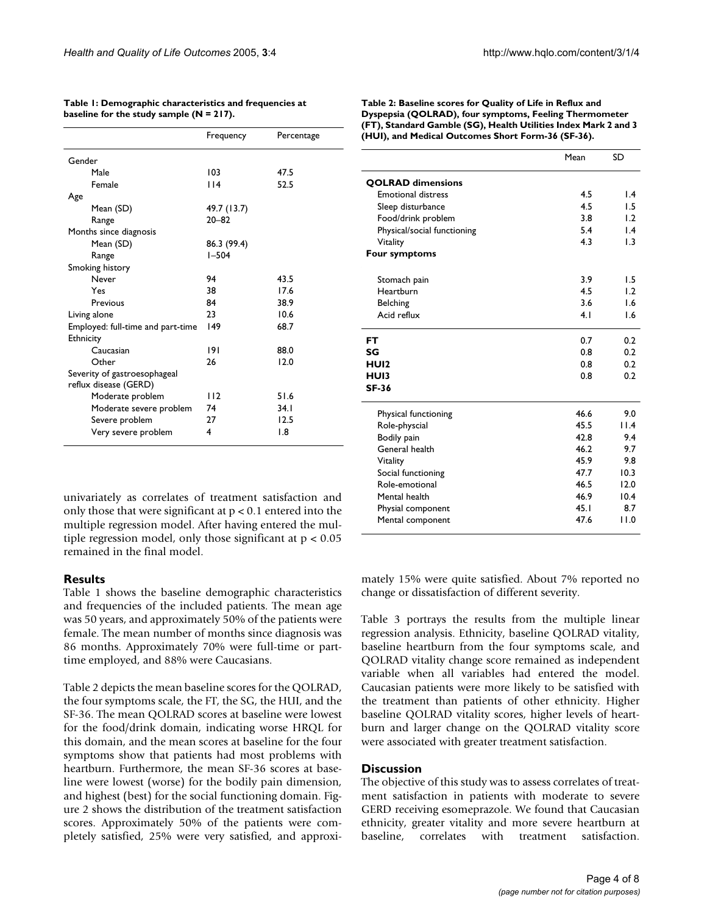|                                   | Frequency   | Percentage |
|-----------------------------------|-------------|------------|
| Gender                            |             |            |
| Male                              | 103         | 47.5       |
| Female                            | 114         | 52.5       |
| Age                               |             |            |
| Mean (SD)                         | 49.7 (13.7) |            |
| Range                             | $20 - 82$   |            |
| Months since diagnosis            |             |            |
| Mean (SD)                         | 86.3 (99.4) |            |
| Range                             | $1 - 504$   |            |
| Smoking history                   |             |            |
| Never                             | 94          | 43.5       |
| Yes                               | 38          | 17.6       |
| Previous                          | 84          | 38.9       |
| Living alone                      | 23          | 10.6       |
| Employed: full-time and part-time | 149         | 68.7       |
| <b>Ethnicity</b>                  |             |            |
| Caucasian                         | 191         | 88.0       |
| Other                             | 26          | 12.0       |
| Severity of gastroesophageal      |             |            |
| reflux disease (GERD)             |             |            |
| Moderate problem                  | 112         | 51.6       |
| Moderate severe problem           | 74          | 34. I      |
| Severe problem                    | 27          | 12.5       |
| Very severe problem               | 4           | 1.8        |
|                                   |             |            |

**Table 1: Demographic characteristics and frequencies at baseline for the study sample (N = 217).**

univariately as correlates of treatment satisfaction and only those that were significant at  $p < 0.1$  entered into the multiple regression model. After having entered the multiple regression model, only those significant at  $p < 0.05$ remained in the final model.

### **Results**

Table 1 shows the baseline demographic characteristics and frequencies of the included patients. The mean age was 50 years, and approximately 50% of the patients were female. The mean number of months since diagnosis was 86 months. Approximately 70% were full-time or parttime employed, and 88% were Caucasians.

Table 2 depicts the mean baseline scores for the QOLRAD, the four symptoms scale, the FT, the SG, the HUI, and the SF-36. The mean QOLRAD scores at baseline were lowest for the food/drink domain, indicating worse HRQL for this domain, and the mean scores at baseline for the four symptoms show that patients had most problems with heartburn. Furthermore, the mean SF-36 scores at baseline were lowest (worse) for the bodily pain dimension, and highest (best) for the social functioning domain. Figure [2](#page-4-0) shows the distribution of the treatment satisfaction scores. Approximately 50% of the patients were completely satisfied, 25% were very satisfied, and approxi**Table 2: Baseline scores for Quality of Life in Reflux and Dyspepsia (QOLRAD), four symptoms, Feeling Thermometer (FT), Standard Gamble (SG), Health Utilities Index Mark 2 and 3 (HUI), and Medical Outcomes Short Form-36 (SF-36).**

|                             | Mean | SD              |
|-----------------------------|------|-----------------|
| <b>QOLRAD dimensions</b>    |      |                 |
| <b>Emotional distress</b>   | 4.5  | $\mathsf{I}$ .4 |
| Sleep disturbance           | 4.5  | 1.5             |
| Food/drink problem          | 3.8  | 1.2             |
| Physical/social functioning | 5.4  | $\mathsf{I}$ .4 |
| <b>Vitality</b>             | 4.3  | 1.3             |
| Four symptoms               |      |                 |
| Stomach pain                | 3.9  | 1.5             |
| Heartburn                   | 4.5  | 1.2             |
| Belching                    | 3.6  | 1.6             |
| Acid reflux                 | 4.1  | 1.6             |
| FT                          | 0.7  | 0.2             |
| SG                          | 0.8  | 0.2             |
| HUI <sub>2</sub>            | 0.8  | 0.2             |
| HU <sub>13</sub>            | 0.8  | 0.2             |
| SF-36                       |      |                 |
| Physical functioning        | 46.6 | 9.0             |
| Role-physcial               | 45.5 | 11.4            |
| Bodily pain                 | 42.8 | 9.4             |
| General health              | 46.2 | 9.7             |
| Vitality                    | 45.9 | 9.8             |
| Social functioning          | 47.7 | 10.3            |
| Role-emotional              | 46.5 | 12.0            |
| Mental health               | 46.9 | 10.4            |
| Physial component           | 45.1 | 8.7             |
| Mental component            | 47.6 | 11.0            |

mately 15% were quite satisfied. About 7% reported no change or dissatisfaction of different severity.

Table [3](#page-4-1) portrays the results from the multiple linear regression analysis. Ethnicity, baseline QOLRAD vitality, baseline heartburn from the four symptoms scale, and QOLRAD vitality change score remained as independent variable when all variables had entered the model. Caucasian patients were more likely to be satisfied with the treatment than patients of other ethnicity. Higher baseline QOLRAD vitality scores, higher levels of heartburn and larger change on the QOLRAD vitality score were associated with greater treatment satisfaction.

# **Discussion**

The objective of this study was to assess correlates of treatment satisfaction in patients with moderate to severe GERD receiving esomeprazole. We found that Caucasian ethnicity, greater vitality and more severe heartburn at baseline, correlates with treatment satisfaction.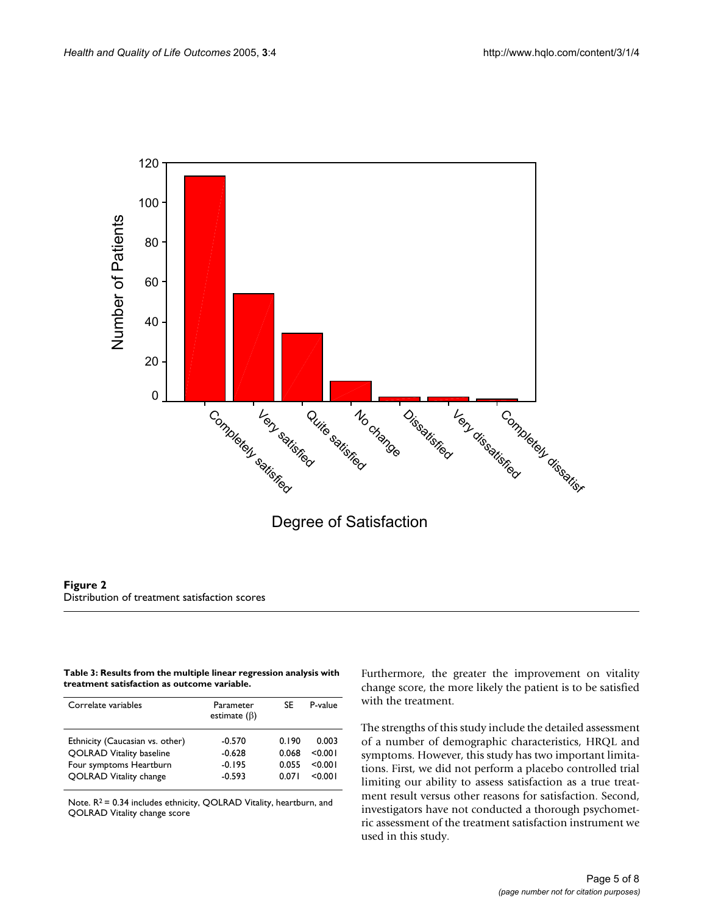<span id="page-4-0"></span>

# Figure 2 Distribution of treatment satisfaction scores

#### <span id="page-4-1"></span>**Table 3: Results from the multiple linear regression analysis with treatment satisfaction as outcome variable.**

| Correlate variables             | Parameter<br>estimate $(\beta)$ | SF    | P-value |
|---------------------------------|---------------------------------|-------|---------|
| Ethnicity (Caucasian vs. other) | $-0.570$                        | 0.190 | 0.003   |
| <b>QOLRAD Vitality baseline</b> | $-0.628$                        | 0.068 | < 0.001 |
| Four symptoms Heartburn         | $-0.195$                        | 0.055 | < 0.001 |
| <b>QOLRAD Vitality change</b>   | $-0.593$                        | 0.071 | < 0.001 |

Note. R<sup>2</sup> = 0.34 includes ethnicity, QOLRAD Vitality, heartburn, and QOLRAD Vitality change score

Furthermore, the greater the improvement on vitality change score, the more likely the patient is to be satisfied with the treatment.

The strengths of this study include the detailed assessment of a number of demographic characteristics, HRQL and symptoms. However, this study has two important limitations. First, we did not perform a placebo controlled trial limiting our ability to assess satisfaction as a true treatment result versus other reasons for satisfaction. Second, investigators have not conducted a thorough psychometric assessment of the treatment satisfaction instrument we used in this study.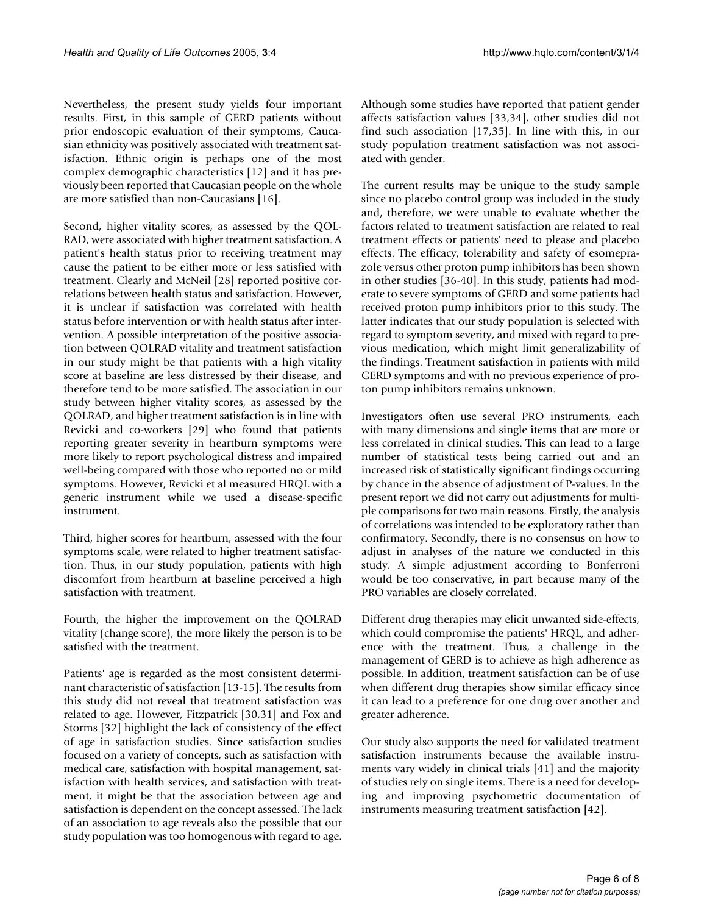Nevertheless, the present study yields four important results. First, in this sample of GERD patients without prior endoscopic evaluation of their symptoms, Caucasian ethnicity was positively associated with treatment satisfaction. Ethnic origin is perhaps one of the most complex demographic characteristics [12] and it has previously been reported that Caucasian people on the whole are more satisfied than non-Caucasians [16].

Second, higher vitality scores, as assessed by the QOL-RAD, were associated with higher treatment satisfaction. A patient's health status prior to receiving treatment may cause the patient to be either more or less satisfied with treatment. Clearly and McNeil [28] reported positive correlations between health status and satisfaction. However, it is unclear if satisfaction was correlated with health status before intervention or with health status after intervention. A possible interpretation of the positive association between QOLRAD vitality and treatment satisfaction in our study might be that patients with a high vitality score at baseline are less distressed by their disease, and therefore tend to be more satisfied. The association in our study between higher vitality scores, as assessed by the QOLRAD, and higher treatment satisfaction is in line with Revicki and co-workers [29] who found that patients reporting greater severity in heartburn symptoms were more likely to report psychological distress and impaired well-being compared with those who reported no or mild symptoms. However, Revicki et al measured HRQL with a generic instrument while we used a disease-specific instrument.

Third, higher scores for heartburn, assessed with the four symptoms scale, were related to higher treatment satisfaction. Thus, in our study population, patients with high discomfort from heartburn at baseline perceived a high satisfaction with treatment.

Fourth, the higher the improvement on the QOLRAD vitality (change score), the more likely the person is to be satisfied with the treatment.

Patients' age is regarded as the most consistent determinant characteristic of satisfaction [13-15]. The results from this study did not reveal that treatment satisfaction was related to age. However, Fitzpatrick [30,31] and Fox and Storms [32] highlight the lack of consistency of the effect of age in satisfaction studies. Since satisfaction studies focused on a variety of concepts, such as satisfaction with medical care, satisfaction with hospital management, satisfaction with health services, and satisfaction with treatment, it might be that the association between age and satisfaction is dependent on the concept assessed. The lack of an association to age reveals also the possible that our study population was too homogenous with regard to age.

Although some studies have reported that patient gender affects satisfaction values [33,34], other studies did not find such association [17,35]. In line with this, in our study population treatment satisfaction was not associated with gender.

The current results may be unique to the study sample since no placebo control group was included in the study and, therefore, we were unable to evaluate whether the factors related to treatment satisfaction are related to real treatment effects or patients' need to please and placebo effects. The efficacy, tolerability and safety of esomeprazole versus other proton pump inhibitors has been shown in other studies [36-40]. In this study, patients had moderate to severe symptoms of GERD and some patients had received proton pump inhibitors prior to this study. The latter indicates that our study population is selected with regard to symptom severity, and mixed with regard to previous medication, which might limit generalizability of the findings. Treatment satisfaction in patients with mild GERD symptoms and with no previous experience of proton pump inhibitors remains unknown.

Investigators often use several PRO instruments, each with many dimensions and single items that are more or less correlated in clinical studies. This can lead to a large number of statistical tests being carried out and an increased risk of statistically significant findings occurring by chance in the absence of adjustment of P-values. In the present report we did not carry out adjustments for multiple comparisons for two main reasons. Firstly, the analysis of correlations was intended to be exploratory rather than confirmatory. Secondly, there is no consensus on how to adjust in analyses of the nature we conducted in this study. A simple adjustment according to Bonferroni would be too conservative, in part because many of the PRO variables are closely correlated.

Different drug therapies may elicit unwanted side-effects, which could compromise the patients' HRQL, and adherence with the treatment. Thus, a challenge in the management of GERD is to achieve as high adherence as possible. In addition, treatment satisfaction can be of use when different drug therapies show similar efficacy since it can lead to a preference for one drug over another and greater adherence.

Our study also supports the need for validated treatment satisfaction instruments because the available instruments vary widely in clinical trials [41] and the majority of studies rely on single items. There is a need for developing and improving psychometric documentation of instruments measuring treatment satisfaction [42].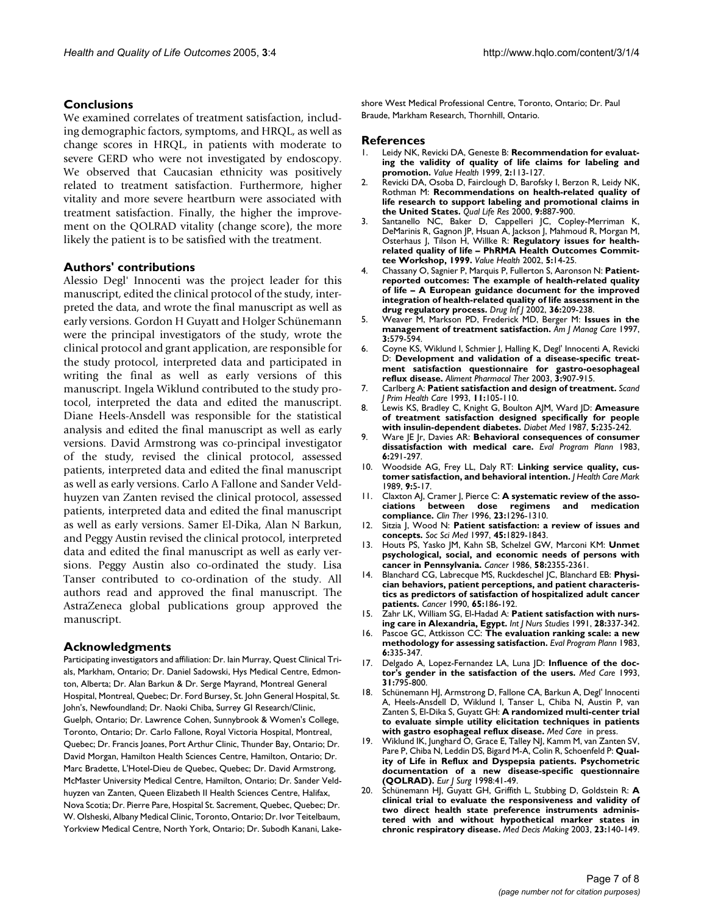# **Conclusions**

We examined correlates of treatment satisfaction, including demographic factors, symptoms, and HRQL, as well as change scores in HRQL, in patients with moderate to severe GERD who were not investigated by endoscopy. We observed that Caucasian ethnicity was positively related to treatment satisfaction. Furthermore, higher vitality and more severe heartburn were associated with treatment satisfaction. Finally, the higher the improvement on the QOLRAD vitality (change score), the more likely the patient is to be satisfied with the treatment.

### **Authors' contributions**

Alessio Degl' Innocenti was the project leader for this manuscript, edited the clinical protocol of the study, interpreted the data, and wrote the final manuscript as well as early versions. Gordon H Guyatt and Holger Schünemann were the principal investigators of the study, wrote the clinical protocol and grant application, are responsible for the study protocol, interpreted data and participated in writing the final as well as early versions of this manuscript. Ingela Wiklund contributed to the study protocol, interpreted the data and edited the manuscript. Diane Heels-Ansdell was responsible for the statistical analysis and edited the final manuscript as well as early versions. David Armstrong was co-principal investigator of the study, revised the clinical protocol, assessed patients, interpreted data and edited the final manuscript as well as early versions. Carlo A Fallone and Sander Veldhuyzen van Zanten revised the clinical protocol, assessed patients, interpreted data and edited the final manuscript as well as early versions. Samer El-Dika, Alan N Barkun, and Peggy Austin revised the clinical protocol, interpreted data and edited the final manuscript as well as early versions. Peggy Austin also co-ordinated the study. Lisa Tanser contributed to co-ordination of the study. All authors read and approved the final manuscript. The AstraZeneca global publications group approved the manuscript.

### **Acknowledgments**

Participating investigators and affiliation: Dr. Iain Murray, Quest Clinical Trials, Markham, Ontario; Dr. Daniel Sadowski, Hys Medical Centre, Edmonton, Alberta; Dr. Alan Barkun & Dr. Serge Mayrand, Montreal General Hospital, Montreal, Quebec; Dr. Ford Bursey, St. John General Hospital, St. John's, Newfoundland; Dr. Naoki Chiba, Surrey GI Research/Clinic, Guelph, Ontario; Dr. Lawrence Cohen, Sunnybrook & Women's College, Toronto, Ontario; Dr. Carlo Fallone, Royal Victoria Hospital, Montreal, Quebec; Dr. Francis Joanes, Port Arthur Clinic, Thunder Bay, Ontario; Dr. David Morgan, Hamilton Health Sciences Centre, Hamilton, Ontario; Dr. Marc Bradette, L'Hotel-Dieu de Quebec, Quebec; Dr. David Armstrong, McMaster University Medical Centre, Hamilton, Ontario; Dr. Sander Veldhuyzen van Zanten, Queen Elizabeth II Health Sciences Centre, Halifax, Nova Scotia; Dr. Pierre Pare, Hospital St. Sacrement, Quebec, Quebec; Dr. W. Olsheski, Albany Medical Clinic, Toronto, Ontario; Dr. Ivor Teitelbaum, Yorkview Medical Centre, North York, Ontario; Dr. Subodh Kanani, Lakeshore West Medical Professional Centre, Toronto, Ontario; Dr. Paul Braude, Markham Research, Thornhill, Ontario.

#### **References**

- 1. Leidy NK, Revicki DA, Geneste B: **Recommendation for evaluating the validity of quality of life claims for labeling and promotion.** *Value Health* 1999, **2:**113-127.
- 2. Revicki DA, Osoba D, Fairclough D, Barofsky I, Berzon R, Leidy NK, Rothman M: **[Recommendations on health-related quality of](http://www.ncbi.nlm.nih.gov/entrez/query.fcgi?cmd=Retrieve&db=PubMed&dopt=Abstract&list_uids=11284208) [life research to support labeling and promotional claims in](http://www.ncbi.nlm.nih.gov/entrez/query.fcgi?cmd=Retrieve&db=PubMed&dopt=Abstract&list_uids=11284208) [the United States.](http://www.ncbi.nlm.nih.gov/entrez/query.fcgi?cmd=Retrieve&db=PubMed&dopt=Abstract&list_uids=11284208)** *Qual Life Res* 2000, **9:**887-900.
- 3. Santanello NC, Baker D, Cappelleri JC, Copley-Merriman K, DeMarinis R, Gagnon JP, Hsuan A, Jackson J, Mahmoud R, Morgan M, Osterhaus J, Tilson H, Willke R: **[Regulatory issues for health](http://www.ncbi.nlm.nih.gov/entrez/query.fcgi?cmd=Retrieve&db=PubMed&dopt=Abstract&list_uids=11873379)[related quality of life – PhRMA Health Outcomes Commit](http://www.ncbi.nlm.nih.gov/entrez/query.fcgi?cmd=Retrieve&db=PubMed&dopt=Abstract&list_uids=11873379)[tee Workshop, 1999.](http://www.ncbi.nlm.nih.gov/entrez/query.fcgi?cmd=Retrieve&db=PubMed&dopt=Abstract&list_uids=11873379)** *Value Health* 2002, **5:**14-25.
- 4. Chassany O, Sagnier P, Marquis P, Fullerton S, Aaronson N: **Patientreported outcomes: The example of health-related quality of life – A European guidance document for the improved integration of health-related quality of life assessment in the drug regulatory process.** *Drug Inf J* 2002, **36:**209-238.
- 5. Weaver M, Markson PD, Frederick MD, Berger M: **[Issues in the](http://www.ncbi.nlm.nih.gov/entrez/query.fcgi?cmd=Retrieve&db=PubMed&dopt=Abstract&list_uids=10169526) [management of treatment satisfaction.](http://www.ncbi.nlm.nih.gov/entrez/query.fcgi?cmd=Retrieve&db=PubMed&dopt=Abstract&list_uids=10169526)** *Am J Manag Care* 1997, **3:**579-594.
- 6. Coyne KS, Wiklund I, Schmier J, Halling K, Degl' Innocenti A, Revicki D: **Development and validation of a disease-specific treatment satisfaction questionnaire for gastro-oesophageal reflux disease.** *Aliment Pharmacol Ther* 2003, **3:**907-915.
- 7. Carlberg A: **[Patient satisfaction and design of treatment.](http://www.ncbi.nlm.nih.gov/entrez/query.fcgi?cmd=Retrieve&db=PubMed&dopt=Abstract&list_uids=8356359)** *Scand J Prim Health Care* 1993, **11:**105-110.
- 8. Lewis KS, Bradley C, Knight G, Boulton AJM, Ward JD: **Ameasure of treatment satisfaction designed specifically for people with insulin-dependent diabetes.** *Diabet Med* 1987, **5:**235-242.
- 9. Ware JE Jr, Davies AR: **[Behavioral consequences of consumer](http://www.ncbi.nlm.nih.gov/entrez/query.fcgi?cmd=Retrieve&db=PubMed&dopt=Abstract&list_uids=10267257) [dissatisfaction with medical care.](http://www.ncbi.nlm.nih.gov/entrez/query.fcgi?cmd=Retrieve&db=PubMed&dopt=Abstract&list_uids=10267257)** *Eval Program Plann* 1983, **6:**291-297.
- 10. Woodside AG, Frey LL, Daly RT: **[Linking service quality, cus](http://www.ncbi.nlm.nih.gov/entrez/query.fcgi?cmd=Retrieve&db=PubMed&dopt=Abstract&list_uids=10304174)[tomer satisfaction, and behavioral intention.](http://www.ncbi.nlm.nih.gov/entrez/query.fcgi?cmd=Retrieve&db=PubMed&dopt=Abstract&list_uids=10304174)** *J Health Care Mark* 1989, **9:**5-17.
- 11. Claxton AJ, Cramer J, Pierce C: **A systematic review of the asso**ciations between dose regimens **compliance.** *Clin Ther* 1996, **23:**1296-1310.
- 12. Sitzia J, Wood N: **[Patient satisfaction: a review of issues and](http://www.ncbi.nlm.nih.gov/entrez/query.fcgi?cmd=Retrieve&db=PubMed&dopt=Abstract&list_uids=9447632) [concepts.](http://www.ncbi.nlm.nih.gov/entrez/query.fcgi?cmd=Retrieve&db=PubMed&dopt=Abstract&list_uids=9447632)** *Soc Sci Med* 1997, **45:**1829-1843.
- 13. Houts PS, Yasko JM, Kahn SB, Schelzel GW, Marconi KM: **[Unmet](http://www.ncbi.nlm.nih.gov/entrez/query.fcgi?cmd=Retrieve&db=PubMed&dopt=Abstract&list_uids=3756782) [psychological, social, and economic needs of persons with](http://www.ncbi.nlm.nih.gov/entrez/query.fcgi?cmd=Retrieve&db=PubMed&dopt=Abstract&list_uids=3756782) [cancer in Pennsylvania.](http://www.ncbi.nlm.nih.gov/entrez/query.fcgi?cmd=Retrieve&db=PubMed&dopt=Abstract&list_uids=3756782)** *Cancer* 1986, **58:**2355-2361.
- 14. Blanchard CG, Labrecque MS, Ruckdeschel JC, Blanchard EB: **[Physi](http://www.ncbi.nlm.nih.gov/entrez/query.fcgi?cmd=Retrieve&db=PubMed&dopt=Abstract&list_uids=2293865)[cian behaviors, patient perceptions, and patient characteris](http://www.ncbi.nlm.nih.gov/entrez/query.fcgi?cmd=Retrieve&db=PubMed&dopt=Abstract&list_uids=2293865)tics as predictors of satisfaction of hospitalized adult cancer [patients.](http://www.ncbi.nlm.nih.gov/entrez/query.fcgi?cmd=Retrieve&db=PubMed&dopt=Abstract&list_uids=2293865)** *Cancer* 1990, **65:**186-192.
- 15. Zahr LK, William SG, El-Hadad A: **Patient satisfaction with nursing care in Alexandria, Egypt.** *Int J Nurs Studies* 1991, **28:**337-342.
- 16. Pascoe GC, Attkisson CC: **[The evaluation ranking scale: a new](http://www.ncbi.nlm.nih.gov/entrez/query.fcgi?cmd=Retrieve&db=PubMed&dopt=Abstract&list_uids=10267261) [methodology for assessing satisfaction.](http://www.ncbi.nlm.nih.gov/entrez/query.fcgi?cmd=Retrieve&db=PubMed&dopt=Abstract&list_uids=10267261)** *Eval Program Plann* 1983, **6:**335-347.
- 17. Delgado A, Lopez-Fernandez LA, Luna JD: **[Influence of the doc](http://www.ncbi.nlm.nih.gov/entrez/query.fcgi?cmd=Retrieve&db=PubMed&dopt=Abstract&list_uids=8366681)[tor's gender in the satisfaction of the users.](http://www.ncbi.nlm.nih.gov/entrez/query.fcgi?cmd=Retrieve&db=PubMed&dopt=Abstract&list_uids=8366681)** *Med Care* 1993, **31:**795-800.
- 18. Schünemann HJ, Armstrong D, Fallone CA, Barkun A, Degl' Innocenti A, Heels-Ansdell D, Wiklund I, Tanser L, Chiba N, Austin P, van Zanten S, El-Dika S, Guyatt GH: **A randomized multi-center trial to evaluate simple utility elicitation techniques in patients with gastro esophageal reflux disease.** *Med Care* in press.
- 19. Wiklund IK, Junghard O, Grace E, Talley NJ, Kamm M, van Zanten SV, Pare P, Chiba N, Leddin DS, Bigard M-A, Colin R, Schoenfeld P: **Quality of Life in Reflux and Dyspepsia patients. Psychometric documentation of a new disease-specific questionnaire (QOLRAD).** *Eur J Surg* 1998:41-49.
- 20. Schünemann HJ, Guyatt GH, Griffith L, Stubbing D, Goldstein R: **[A](http://www.ncbi.nlm.nih.gov/entrez/query.fcgi?cmd=Retrieve&db=PubMed&dopt=Abstract&list_uids=12693876) [clinical trial to evaluate the responsiveness and validity of](http://www.ncbi.nlm.nih.gov/entrez/query.fcgi?cmd=Retrieve&db=PubMed&dopt=Abstract&list_uids=12693876) two direct health state preference instruments administered with and without hypothetical marker states in [chronic respiratory disease.](http://www.ncbi.nlm.nih.gov/entrez/query.fcgi?cmd=Retrieve&db=PubMed&dopt=Abstract&list_uids=12693876)** *Med Decis Making* 2003, **23:**140-149.